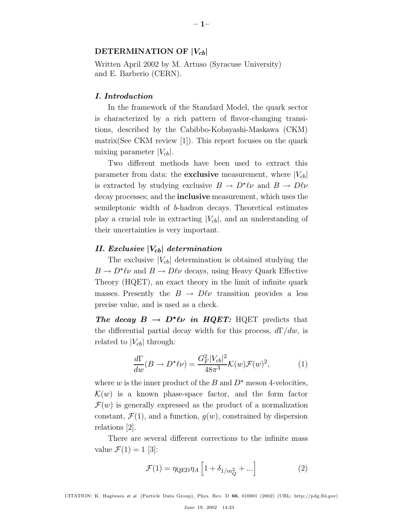### **DETERMINATION OF**  $|V_{cb}|$

Written April 2002 by M. Artuso (Syracuse University) and E. Barberio (CERN).

### *I. Introduction*

In the framework of the Standard Model, the quark sector is characterized by a rich pattern of flavor-changing transitions, described by the Cabibbo-Kobayashi-Maskawa (CKM) matrix(See CKM review [1]). This report focuses on the quark mixing parameter  $|V_{cb}|$ .

Two different methods have been used to extract this parameter from data: the **exclusive** measurement, where  $|V_{cb}|$ is extracted by studying exclusive  $B \to D^* \ell \nu$  and  $B \to D \ell \nu$ decay processes; and the **inclusive** measurement, which uses the semileptonic width of b-hadron decays. Theoretical estimates play a crucial role in extracting  $|V_{cb}|$ , and an understanding of their uncertainties is very important.

### *II. Exclusive |V*cb*| determination*

The exclusive  $|V_{cb}|$  determination is obtained studying the  $B \to D^*\ell\nu$  and  $B \to D\ell\nu$  decays, using Heavy Quark Effective Theory (HQET), an exact theory in the limit of infinite quark masses. Presently the  $B \to D\ell\nu$  transition provides a less precise value, and is used as a check.

*The decay*  $B \to D^* \ell \nu$  *in HQET:* HQET predicts that the differential partial decay width for this process,  $d\Gamma/dw$ , is related to  $|V_{cb}|$  through:

$$
\frac{d\Gamma}{dw}(B \to D^{\star}\ell\nu) = \frac{G_F^2 |V_{cb}|^2}{48\pi^3} \mathcal{K}(w)\mathcal{F}(w)^2,\tag{1}
$$

where w is the inner product of the B and  $D^*$  meson 4-velocities,  $\mathcal{K}(w)$  is a known phase-space factor, and the form factor  $\mathcal{F}(w)$  is generally expressed as the product of a normalization constant,  $\mathcal{F}(1)$ , and a function,  $q(w)$ , constrained by dispersion relations [2].

There are several different corrections to the infinite mass value  $\mathcal{F}(1) = 1$  [3]:

$$
\mathcal{F}(1) = \eta_{\text{QED}} \eta_A \left[ 1 + \delta_{1/m_Q^2} + \ldots \right] \tag{2}
$$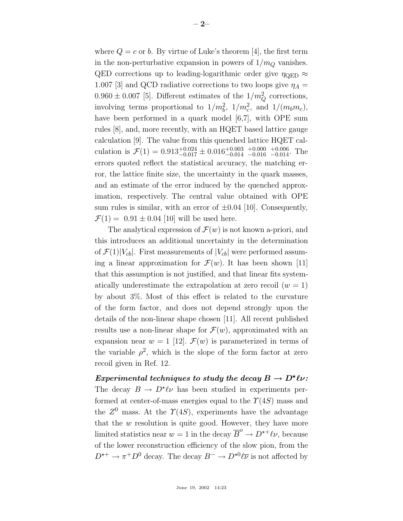where  $Q = c$  or b. By virtue of Luke's theorem [4], the first term in the non-perturbative expansion in powers of  $1/m_Q$  vanishes. QED corrections up to leading-logarithmic order give  $\eta_{\text{QED}} \approx$ 1.007 [3] and QCD radiative corrections to two loops give  $\eta_A =$  $0.960 \pm 0.007$  [5]. Different estimates of the  $1/m_Q^2$  corrections, involving terms proportional to  $1/m_b^2$ ,  $1/m_c^2$ , and  $1/(m_b m_c)$ , have been performed in a quark model [6,7], with OPE sum rules [8], and, more recently, with an HQET based lattice gauge calculation [9]. The value from this quenched lattice HQET calculation is  $\mathcal{F}(1) = 0.913_{-0.017}^{+0.024} \pm 0.016_{-0.014}^{+0.003}$   $_{-0.016}^{+0.000}$ −0.016  $_{-0.014}^{+0.006}$ . The errors quoted reflect the statistical accuracy, the matching error, the lattice finite size, the uncertainty in the quark masses, and an estimate of the error induced by the quenched approximation, respectively. The central value obtained with OPE sum rules is similar, with an error of  $\pm 0.04$  [10]. Consequently,  $\mathcal{F}(1) = 0.91 \pm 0.04$  [10] will be used here.

The analytical expression of  $\mathcal{F}(w)$  is not known a-priori, and this introduces an additional uncertainty in the determination of  $\mathcal{F}(1)|V_{cb}|$ . First measurements of  $|V_{cb}|$  were performed assuming a linear approximation for  $\mathcal{F}(w)$ . It has been shown [11] that this assumption is not justified, and that linear fits systematically underestimate the extrapolation at zero recoil  $(w = 1)$ by about 3%. Most of this effect is related to the curvature of the form factor, and does not depend strongly upon the details of the non-linear shape chosen [11]. All recent published results use a non-linear shape for  $\mathcal{F}(w)$ , approximated with an expansion near  $w = 1$  [12].  $\mathcal{F}(w)$  is parameterized in terms of the variable  $\rho^2$ , which is the slope of the form factor at zero recoil given in Ref. 12.

 $Experimental\ techniques\ to\ study\ the\ decay\ B \to D^\star \ell \nu\colon$ The decay  $B \to D^*\ell\nu$  has been studied in experiments performed at center-of-mass energies equal to the  $\Upsilon(4S)$  mass and the  $Z^0$  mass. At the  $\Upsilon(4S)$ , experiments have the advantage that the  $w$  resolution is quite good. However, they have more limited statistics near  $w = 1$  in the decay  $\overline{B}^{\circ} \to D^{*+} \ell \nu$ , because of the lower reconstruction efficiency of the slow pion, from the  $D^{*+} \to \pi^+ D^0$  decay. The decay  $B^- \to D^{*0} \ell \overline{\nu}$  is not affected by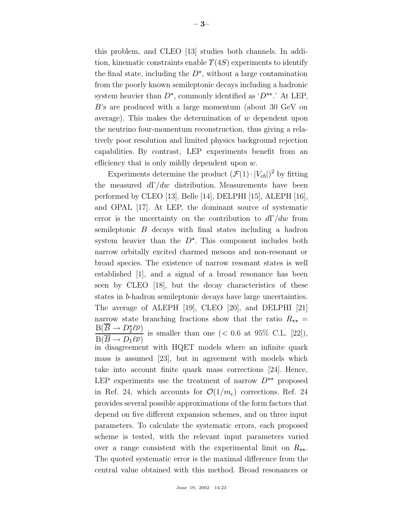this problem, and CLEO [13] studies both channels. In addition, kinematic constraints enable  $\Upsilon(4S)$  experiments to identify the final state, including the  $D^*$ , without a large contamination from the poorly known semileptonic decays including a hadronic system heavier than  $D^*$ , commonly identified as ' $D^{**}$ .' At LEP, B's are produced with a large momentum (about 30 GeV on average). This makes the determination of  $w$  dependent upon the neutrino four-momentum reconstruction, thus giving a relatively poor resolution and limited physics background rejection capabilities. By contrast, LEP experiments benefit from an efficiency that is only mildly dependent upon  $w$ .

Experiments determine the product  $(\mathcal{F}(1)\cdot |V_{cb}|)^2$  by fitting the measured  $d\Gamma/dw$  distribution. Measurements have been performed by CLEO [13], Belle [14], DELPHI [15], ALEPH [16], and OPAL [17]. At LEP, the dominant source of systematic error is the uncertainty on the contribution to  $d\Gamma/dw$  from semileptonic B decays with final states including a hadron system heavier than the  $D^*$ . This component includes both narrow orbitally excited charmed mesons and non-resonant or broad species. The existence of narrow resonant states is well established [1], and a signal of a broad resonance has been seen by CLEO [18], but the decay characteristics of these states in b-hadron semileptonic decays have large uncertainties. The average of ALEPH [19], CLEO [20], and DELPHI [21] narrow state branching fractions show that the ratio  $R_{\star\star}$  =  $B(\overline{B} \to D_2^{\star} \ell \overline{\nu})$  $\frac{B(D \rightarrow D_2 e^{\nu})}{B(\overline{B} \rightarrow D_1 \ell \overline{\nu})}$  is smaller than one (< 0.6 at 95% C.L. [22]), in disagreement with HQET models where an infinite quark mass is assumed [23], but in agreement with models which take into account finite quark mass corrections [24]. Hence, LEP experiments use the treatment of narrow  $D^{\star\star}$  proposed in Ref. 24, which accounts for  $\mathcal{O}(1/m_c)$  corrections. Ref. 24 provides several possible approximations of the form factors that depend on five different expansion schemes, and on three input parameters. To calculate the systematic errors, each proposed scheme is tested, with the relevant input parameters varied over a range consistent with the experimental limit on  $R_{\star\star}$ . The quoted systematic error is the maximal difference from the central value obtained with this method. Broad resonances or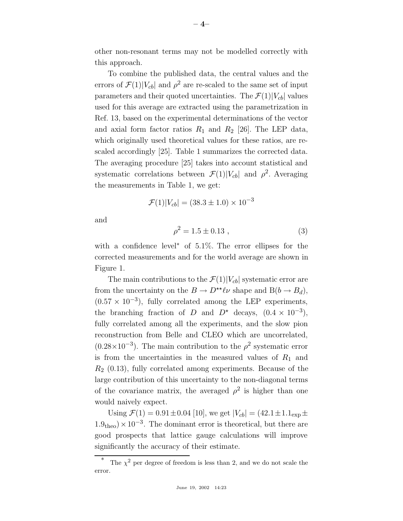other non-resonant terms may not be modelled correctly with this approach.

To combine the published data, the central values and the errors of  $\mathcal{F}(1)|V_{cb}|$  and  $\rho^2$  are re-scaled to the same set of input parameters and their quoted uncertainties. The  $\mathcal{F}(1)|V_{cb}|$  values used for this average are extracted using the parametrization in Ref. 13, based on the experimental determinations of the vector and axial form factor ratios  $R_1$  and  $R_2$  [26]. The LEP data, which originally used theoretical values for these ratios, are rescaled accordingly [25]. Table 1 summarizes the corrected data. The averaging procedure [25] takes into account statistical and systematic correlations between  $\mathcal{F}(1)|V_{cb}|$  and  $\rho^2$ . Averaging the measurements in Table 1, we get:

$$
\mathcal{F}(1)|V_{cb}| = (38.3 \pm 1.0) \times 10^{-3}
$$

and

$$
\rho^2 = 1.5 \pm 0.13 \tag{3}
$$

with a confidence level∗ of 5.1%. The error ellipses for the corrected measurements and for the world average are shown in Figure 1.

The main contributions to the  $\mathcal{F}(1)|V_{cb}|$  systematic error are from the uncertainty on the  $B \to D^{\star\star} \ell \nu$  shape and  $B(b \to B_d)$ ,  $(0.57 \times 10^{-3})$ , fully correlated among the LEP experiments, the branching fraction of D and  $D^*$  decays,  $(0.4 \times 10^{-3})$ , fully correlated among all the experiments, and the slow pion reconstruction from Belle and CLEO which are uncorrelated,  $(0.28\times10^{-3})$ . The main contribution to the  $\rho^2$  systematic error is from the uncertainties in the measured values of  $R_1$  and  $R_2$  (0.13), fully correlated among experiments. Because of the large contribution of this uncertainty to the non-diagonal terms of the covariance matrix, the averaged  $\rho^2$  is higher than one would naively expect.

Using  $\mathcal{F}(1) = 0.91 \pm 0.04$  [10], we get  $|V_{cb}| = (42.1 \pm 1.1_{exp} \pm 1.1_{exp})$  $1.9<sub>theo</sub>$  ×  $10<sup>-3</sup>$ . The dominant error is theoretical, but there are good prospects that lattice gauge calculations will improve significantly the accuracy of their estimate.

The  $\chi^2$  per degree of freedom is less than 2, and we do not scale the error.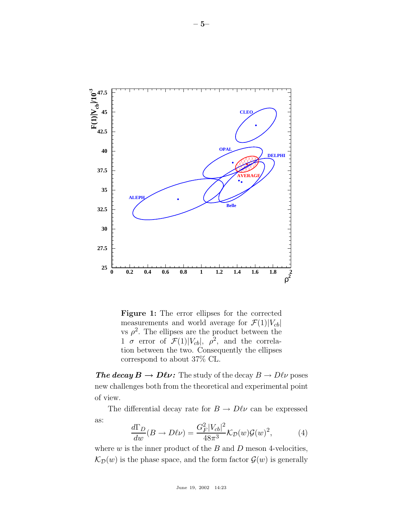

**Figure 1:** The error ellipses for the corrected measurements and world average for  $\mathcal{F}(1)|V_{cb}|$ vs  $\rho^2$ . The ellipses are the product between the  $1 \sigma$  error of  $\mathcal{F}(1)|V_{cb}|$ ,  $\rho^2$ , and the correlation between the two. Consequently the ellipses correspond to about 37% CL.

*The decay*  $B \to D\ell\nu$ : The study of the decay  $B \to D\ell\nu$  poses new challenges both from the theoretical and experimental point of view.

The differential decay rate for  $B \to D\ell\nu$  can be expressed as:

$$
\frac{d\Gamma_D}{dw}(B \to D\ell\nu) = \frac{G_F^2 |V_{cb}|^2}{48\pi^3} \mathcal{K}_D(w)\mathcal{G}(w)^2,\tag{4}
$$

where  $w$  is the inner product of the  $B$  and  $D$  meson 4-velocities,  $\mathcal{K}_{\mathcal{D}}(w)$  is the phase space, and the form factor  $\mathcal{G}(w)$  is generally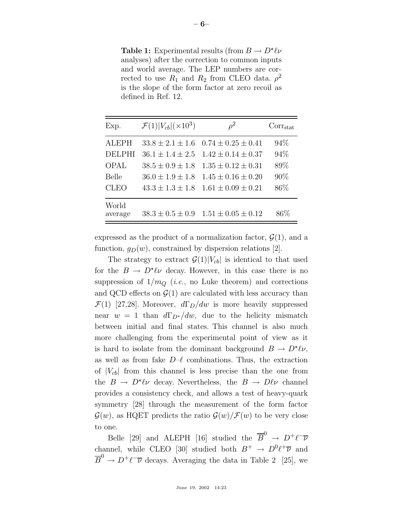**Table 1:** Experimental results (from  $B \to D^* \ell \nu$ analyses) after the correction to common inputs and world average. The LEP numbers are corrected to use  $R_1$  and  $R_2$  from CLEO data.  $\rho^2$ is the slope of the form factor at zero recoil as defined in Ref. 12.

| Exp.             | $\mathcal{F}(1) V_{cb} (\times 10^3)$ | $\rho^2$                 | $Corr_{stat}$ |
|------------------|---------------------------------------|--------------------------|---------------|
| <b>ALEPH</b>     | $33.8 \pm 2.1 \pm 1.6$                | $0.74 \pm 0.25 \pm 0.41$ | 94\%          |
| <b>DELPHI</b>    | $36.1 \pm 1.4 \pm 2.5$                | $1.42 \pm 0.14 \pm 0.37$ | 94%           |
| <b>OPAL</b>      | $38.5 \pm 0.9 \pm 1.8$                | $1.35 \pm 0.12 \pm 0.31$ | 89\%          |
| <b>Belle</b>     | $36.0 \pm 1.9 \pm 1.8$                | $1.45 \pm 0.16 \pm 0.20$ | 90%           |
| <b>CLEO</b>      | $43.3 \pm 1.3 \pm 1.8$                | $1.61 \pm 0.09 \pm 0.21$ | 86\%          |
| World<br>average | $38.3 \pm 0.5 \pm 0.9$                | $1.51 \pm 0.05 \pm 0.12$ | $86\%$        |

expressed as the product of a normalization factor,  $\mathcal{G}(1)$ , and a function,  $g_D(w)$ , constrained by dispersion relations [2].

The strategy to extract  $\mathcal{G}(1)|V_{cb}|$  is identical to that used for the  $B \to D^*\ell\nu$  decay. However, in this case there is no suppression of  $1/m_Q$  (*i.e.*, no Luke theorem) and corrections and QCD effects on  $\mathcal{G}(1)$  are calculated with less accuracy than  $\mathcal{F}(1)$  [27,28]. Moreover,  $d\Gamma_D/dw$  is more heavily suppressed near  $w = 1$  than  $d\Gamma_{D^*}/dw$ , due to the helicity mismatch between initial and final states. This channel is also much more challenging from the experimental point of view as it is hard to isolate from the dominant background  $B \to D^* \ell \nu$ , as well as from fake  $D-\ell$  combinations. Thus, the extraction of  $|V_{cb}|$  from this channel is less precise than the one from the  $B \to D^* \ell \nu$  decay. Nevertheless, the  $B \to D \ell \nu$  channel provides a consistency check, and allows a test of heavy-quark symmetry [28] through the measurement of the form factor  $\mathcal{G}(w)$ , as HQET predicts the ratio  $\mathcal{G}(w)/\mathcal{F}(w)$  to be very close to one.

Belle [29] and ALEPH [16] studied the  $\overline{B}^0 \rightarrow D^+ \ell^- \overline{\nu}$ channel, while CLEO [30] studied both  $B^+ \to D^0 \ell^+ \overline{\nu}$  and  $\overline{B}^0 \to D^+\ell^-\overline{\nu}$  decays. Averaging the data in Table 2 [25], we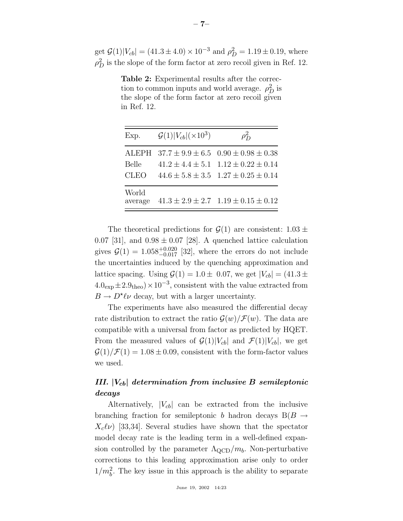get  $\mathcal{G}(1)|V_{cb}| = (41.3 \pm 4.0) \times 10^{-3}$  and  $\rho_D^2 = 1.19 \pm 0.19$ , where  $\rho_D^2$  is the slope of the form factor at zero recoil given in Ref. 12.

**Table 2:** Experimental results after the correction to common inputs and world average.  $\rho_D^2$  is the slope of the form factor at zero recoil given in Ref. 12.

| Exp.                 | $\mathcal{G}(1) V_{cb} (\times 10^3)$ | $\rho_{\rm D}^2$                                                                                                                                            |
|----------------------|---------------------------------------|-------------------------------------------------------------------------------------------------------------------------------------------------------------|
| Belle<br><b>CLEO</b> |                                       | ALEPH $37.7 \pm 9.9 \pm 6.5$ $0.90 \pm 0.98 \pm 0.38$<br>$41.2 \pm 4.4 \pm 5.1$ $1.12 \pm 0.22 \pm 0.14$<br>$44.6 \pm 5.8 \pm 3.5$ $1.27 \pm 0.25 \pm 0.14$ |
| World<br>average     |                                       | $41.3 \pm 2.9 \pm 2.7$ $1.19 \pm 0.15 \pm 0.12$                                                                                                             |

The theoretical predictions for  $\mathcal{G}(1)$  are consistent:  $1.03 \pm$ 0.07 [31], and  $0.98 \pm 0.07$  [28]. A quenched lattice calculation gives  $G(1) = 1.058_{-0.017}^{+0.020}$  [32], where the errors do not include the uncertainties induced by the quenching approximation and lattice spacing. Using  $\mathcal{G}(1) = 1.0 \pm 0.07$ , we get  $|V_{cb}| = (41.3 \pm 0.07)$  $4.0<sub>exp</sub> \pm 2.9<sub>theo</sub> \times 10<sup>-3</sup>$ , consistent with the value extracted from  $B \to D^*\ell\nu$  decay, but with a larger uncertainty.

The experiments have also measured the differential decay rate distribution to extract the ratio  $\mathcal{G}(w)/\mathcal{F}(w)$ . The data are compatible with a universal from factor as predicted by HQET. From the measured values of  $\mathcal{G}(1)|V_{cb}|$  and  $\mathcal{F}(1)|V_{cb}|$ , we get  $\mathcal{G}(1)/\mathcal{F}(1) = 1.08 \pm 0.09$ , consistent with the form-factor values we used.

# *III. |V*cb*| determination from inclusive B semileptonic decays*

Alternatively,  $|V_{cb}|$  can be extracted from the inclusive branching fraction for semileptonic b hadron decays  $B(B \to$  $X_c(\nu)$  [33,34]. Several studies have shown that the spectator model decay rate is the leading term in a well-defined expansion controlled by the parameter  $\Lambda_{\text{QCD}}/m_b$ . Non-perturbative corrections to this leading approximation arise only to order  $1/m_b^2$ . The key issue in this approach is the ability to separate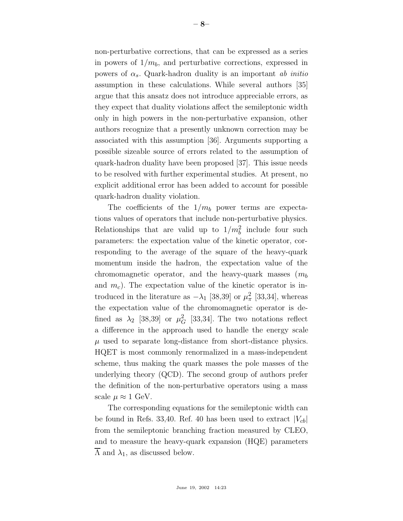non-perturbative corrections, that can be expressed as a series in powers of  $1/m_b$ , and perturbative corrections, expressed in powers of  $\alpha_s$ . Quark-hadron duality is an important ab initio assumption in these calculations. While several authors [35] argue that this ansatz does not introduce appreciable errors, as they expect that duality violations affect the semileptonic width only in high powers in the non-perturbative expansion, other authors recognize that a presently unknown correction may be associated with this assumption [36]. Arguments supporting a possible sizeable source of errors related to the assumption of quark-hadron duality have been proposed [37]. This issue needs to be resolved with further experimental studies. At present, no explicit additional error has been added to account for possible quark-hadron duality violation.

The coefficients of the  $1/m_b$  power terms are expectations values of operators that include non-perturbative physics. Relationships that are valid up to  $1/m_b^2$  include four such parameters: the expectation value of the kinetic operator, corresponding to the average of the square of the heavy-quark momentum inside the hadron, the expectation value of the chromomagnetic operator, and the heavy-quark masses  $(m_b)$ and  $m_c$ ). The expectation value of the kinetic operator is introduced in the literature as  $-\lambda_1$  [38,39] or  $\mu_\pi^2$  [33,34], whereas the expectation value of the chromomagnetic operator is defined as  $\lambda_2$  [38,39] or  $\mu_G^2$  [33,34]. The two notations reflect a difference in the approach used to handle the energy scale  $\mu$  used to separate long-distance from short-distance physics. HQET is most commonly renormalized in a mass-independent scheme, thus making the quark masses the pole masses of the underlying theory (QCD). The second group of authors prefer the definition of the non-perturbative operators using a mass scale  $\mu \approx 1$  GeV.

The corresponding equations for the semileptonic width can be found in Refs. 33,40. Ref. 40 has been used to extract  $|V_{cb}|$ from the semileptonic branching fraction measured by CLEO, and to measure the heavy-quark expansion (HQE) parameters  $\overline{\Lambda}$  and  $\lambda_1$ , as discussed below.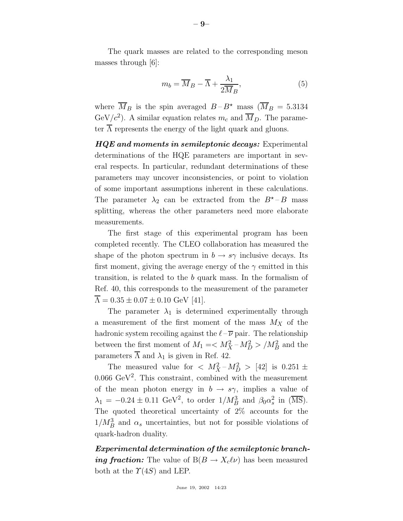The quark masses are related to the corresponding meson masses through [6]:

$$
m_b = \overline{M}_B - \overline{\Lambda} + \frac{\lambda_1}{2\overline{M}_B},\tag{5}
$$

where  $\overline{M}_B$  is the spin averaged  $B - B^*$  mass  $(\overline{M}_B = 5.3134)$ GeV/ $c^2$ ). A similar equation relates  $m_c$  and  $\overline{M}_D$ . The parameter  $\Lambda$  represents the energy of the light quark and gluons.

*HQE and moments in semileptonic decays:* Experimental determinations of the HQE parameters are important in several respects. In particular, redundant determinations of these parameters may uncover inconsistencies, or point to violation of some important assumptions inherent in these calculations. The parameter  $\lambda_2$  can be extracted from the  $B^{\star}$  – B mass splitting, whereas the other parameters need more elaborate measurements.

The first stage of this experimental program has been completed recently. The CLEO collaboration has measured the shape of the photon spectrum in  $b \to s\gamma$  inclusive decays. Its first moment, giving the average energy of the  $\gamma$  emitted in this transition, is related to the b quark mass. In the formalism of Ref. 40, this corresponds to the measurement of the parameter  $\overline{\Lambda} = 0.35 \pm 0.07 \pm 0.10 \text{ GeV}$  [41].

The parameter  $\lambda_1$  is determined experimentally through a measurement of the first moment of the mass  $M_X$  of the hadronic system recoiling against the  $\ell - \overline{\nu}$  pair. The relationship between the first moment of  $M_1 = \langle M_X^2 - M_D^2 \rangle / M_B^2$  and the parameters  $\overline{\Lambda}$  and  $\lambda_1$  is given in Ref. 42.

The measured value for  $\langle M_X^2 - M_D^2 \rangle$  [42] is 0.251  $\pm$ 0.066  $\text{GeV}^2$ . This constraint, combined with the measurement of the mean photon energy in  $b \to s\gamma$ , implies a value of  $\lambda_1 = -0.24 \pm 0.11 \text{ GeV}^2$ , to order  $1/M_B^3$  and  $\beta_0 \alpha_s^2$  in ( $\overline{\text{MS}}$ ). The quoted theoretical uncertainty of 2% accounts for the  $1/M_B^3$  and  $\alpha_s$  uncertainties, but not for possible violations of quark-hadron duality.

*Experimental determination of the semileptonic branching fraction:* The value of  $B(B \to X_c \ell \nu)$  has been measured both at the  $\Upsilon(4S)$  and LEP.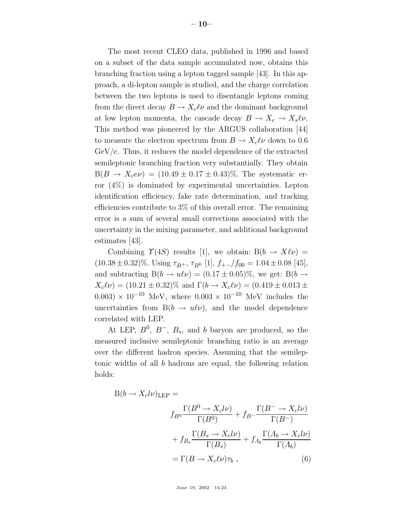The most recent CLEO data, published in 1996 and based on a subset of the data sample accumulated now, obtains this branching fraction using a lepton tagged sample [43]. In this approach, a di-lepton sample is studied, and the charge correlation between the two leptons is used to disentangle leptons coming from the direct decay  $B \to X_c \ell \nu$  and the dominant background at low lepton momenta, the cascade decay  $B \to X_c \to X_s \ell \nu$ . This method was pioneered by the ARGUS collaboration [44] to measure the electron spectrum from  $B \to X_c \ell \nu$  down to 0.6  $GeV/c$ . Thus, it reduces the model dependence of the extracted semileptonic branching fraction very substantially. They obtain  $B(B \to X_c e \nu) = (10.49 \pm 0.17 \pm 0.43)\%$ . The systematic error (4%) is dominated by experimental uncertainties. Lepton identification efficiency, fake rate determination, and tracking efficiencies contribute to 3% of this overall error. The remaining error is a sum of several small corrections associated with the uncertainty in the mixing parameter, and additional background estimates [43].

Combining  $\Upsilon(4S)$  results [1], we obtain:  $B(b \to X\ell\nu) =$  $(10.38 \pm 0.32)\%$ . Using  $\tau_{B^+}$ ,  $\tau_{B^0}$  [1],  $f_{+-}/f_{00} = 1.04 \pm 0.08$  [45], and subtracting  $B(b \to u\ell\nu) = (0.17 \pm 0.05)\%$ , we get:  $B(b \to u\ell\nu)$  $X_c\ell\nu$  = (10.21 ± 0.32)% and  $\Gamma(b \to X_c\ell\nu) = (0.419 \pm 0.013 \pm 0.013 \pm 0.013)$  $(0.003) \times 10^{-10}$  MeV, where  $(0.003 \times 10^{-10})$  MeV includes the uncertainties from  $B(b \to u\ell\nu)$ , and the model dependence correlated with LEP.

At LEP,  $B^0$ ,  $B^-$ ,  $B_s$ , and b baryon are produced, so the measured inclusive semileptonic branching ratio is an average over the different hadron species. Assuming that the semileptonic widths of all b hadrons are equal, the following relation holds:

$$
B(b \to X_c l\nu)_{\text{LEP}} =
$$
  

$$
f_{B^0} \frac{\Gamma(B^0 \to X_c l\nu)}{\Gamma(B^0)} + f_{B^-} \frac{\Gamma(B^- \to X_c l\nu)}{\Gamma(B^-)} + f_{B_s} \frac{\Gamma(B_s \to X_c l\nu)}{\Gamma(B_s)} + f_{A_b} \frac{\Gamma(A_b \to X_c l\nu)}{\Gamma(A_b)}
$$
  

$$
= \Gamma(B \to X_c l\nu) \tau_b , \qquad (6)
$$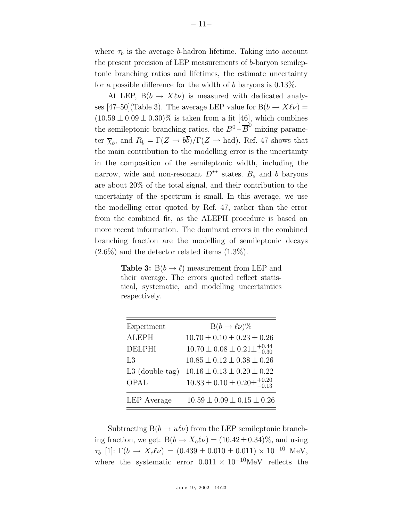where  $\tau_b$  is the average b-hadron lifetime. Taking into account the present precision of LEP measurements of b-baryon semileptonic branching ratios and lifetimes, the estimate uncertainty for a possible difference for the width of b baryons is  $0.13\%$ .

At LEP,  $B(b \to X\ell\nu)$  is measured with dedicated analyses [47–50](Table 3). The average LEP value for  $B(b \to X\ell\nu) =$  $(10.59 \pm 0.09 \pm 0.30)\%$  is taken from a fit [46], which combines the semileptonic branching ratios, the  $B^0$  –  $\overline{B}^0$  mixing parameter  $\overline{\chi}_b$ , and  $R_b = \Gamma(Z \to b\overline{b})/\Gamma(Z \to had)$ . Ref. 47 shows that the main contribution to the modelling error is the uncertainty in the composition of the semileptonic width, including the narrow, wide and non-resonant  $D^{\star\star}$  states.  $B_s$  and b baryons are about 20% of the total signal, and their contribution to the uncertainty of the spectrum is small. In this average, we use the modelling error quoted by Ref. 47, rather than the error from the combined fit, as the ALEPH procedure is based on more recent information. The dominant errors in the combined branching fraction are the modelling of semileptonic decays  $(2.6\%)$  and the detector related items  $(1.3\%).$ 

**Table 3:**  $B(b \rightarrow \ell)$  measurement from LEP and their average. The errors quoted reflect statistical, systematic, and modelling uncertainties respectively.

| Experiment        | $B(b \to \ell \nu)\%$                            |
|-------------------|--------------------------------------------------|
| <b>ALEPH</b>      | $10.70 \pm 0.10 \pm 0.23 \pm 0.26$               |
| <b>DELPHI</b>     | $10.70 \pm 0.08 \pm 0.21 \pm^{+0.44}_{-0.30}$    |
| L3                | $10.85 \pm 0.12 \pm 0.38 \pm 0.26$               |
| $L3$ (double-tag) | $10.16 \pm 0.13 \pm 0.20 \pm 0.22$               |
| OPAL              | $10.83 \pm 0.10 \pm 0.20 \pm {}^{+0.20}_{-0.13}$ |
| LEP Average       | $10.59 \pm 0.09 \pm 0.15 \pm 0.26$               |

Subtracting  $B(b \to u\ell\nu)$  from the LEP semileptonic branching fraction, we get:  $B(b \to X_c l \nu) = (10.42 \pm 0.34)\%$ , and using  $\tau_b$  [1]:  $\Gamma(b \to X_c \ell \nu) = (0.439 \pm 0.010 \pm 0.011) \times 10^{-10}$  MeV, where the systematic error  $0.011 \times 10^{-10}$ MeV reflects the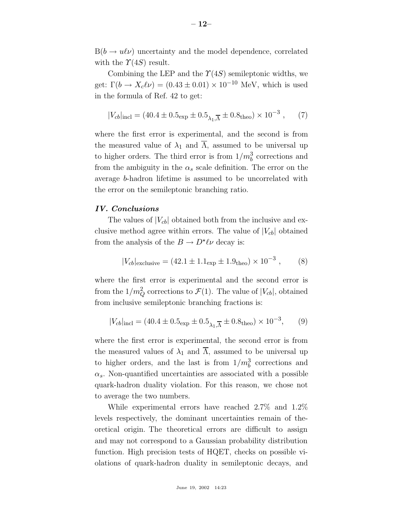$B(b \to u\ell\nu)$  uncertainty and the model dependence, correlated with the  $\Upsilon(4S)$  result.

Combining the LEP and the  $\Upsilon(4S)$  semileptonic widths, we get:  $\Gamma(b \to X_c \ell \nu) = (0.43 \pm 0.01) \times 10^{-10}$  MeV, which is used in the formula of Ref. 42 to get:

$$
|V_{cb}|_{\text{incl}} = (40.4 \pm 0.5_{\text{exp}} \pm 0.5_{\lambda_1, \overline{\Lambda}} \pm 0.8_{\text{theo}}) \times 10^{-3} , \quad (7)
$$

where the first error is experimental, and the second is from the measured value of  $\lambda_1$  and  $\overline{\Lambda}$ , assumed to be universal up to higher orders. The third error is from  $1/m_b^3$  corrections and from the ambiguity in the  $\alpha_s$  scale definition. The error on the average b-hadron lifetime is assumed to be uncorrelated with the error on the semileptonic branching ratio.

#### *IV. Conclusions*

The values of  $|V_{cb}|$  obtained both from the inclusive and exclusive method agree within errors. The value of  $|V_{cb}|$  obtained from the analysis of the  $B \to D^{\star} \ell \nu$  decay is:

$$
|V_{cb}|_{\text{exclusive}} = (42.1 \pm 1.1_{\text{exp}} \pm 1.9_{\text{theo}}) \times 10^{-3} , \quad (8)
$$

where the first error is experimental and the second error is from the  $1/m_Q^2$  corrections to  $\mathcal{F}(1)$ . The value of  $|V_{cb}|$ , obtained from inclusive semileptonic branching fractions is:

$$
|V_{cb}|_{\text{incl}} = (40.4 \pm 0.5_{\text{exp}} \pm 0.5_{\lambda_1, \overline{\Lambda}} \pm 0.8_{\text{theo}}) \times 10^{-3}, \qquad (9)
$$

where the first error is experimental, the second error is from the measured values of  $\lambda_1$  and  $\overline{\Lambda}$ , assumed to be universal up to higher orders, and the last is from  $1/m_b^3$  corrections and  $\alpha_s$ . Non-quantified uncertainties are associated with a possible quark-hadron duality violation. For this reason, we chose not to average the two numbers.

While experimental errors have reached 2.7% and 1.2% levels respectively, the dominant uncertainties remain of theoretical origin. The theoretical errors are difficult to assign and may not correspond to a Gaussian probability distribution function. High precision tests of HQET, checks on possible violations of quark-hadron duality in semileptonic decays, and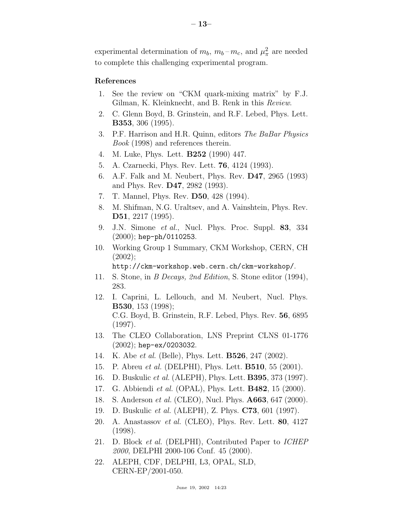experimental determination of  $m_b$ ,  $m_b - m_c$ , and  $\mu_\pi^2$  are needed to complete this challenging experimental program.

## **References**

- 1. See the review on "CKM quark-mixing matrix" by F.J. Gilman, K. Kleinknecht, and B. Renk in this Review.
- 2. C. Glenn Boyd, B. Grinstein, and R.F. Lebed, Phys. Lett. **B353**, 306 (1995).
- 3. P.F. Harrison and H.R. Quinn, editors The BaBar Physics Book (1998) and references therein.
- 4. M. Luke, Phys. Lett. **B252** (1990) 447.
- 5. A. Czarnecki, Phys. Rev. Lett. **76**, 4124 (1993).
- 6. A.F. Falk and M. Neubert, Phys. Rev. **D47**, 2965 (1993) and Phys. Rev. **D47**, 2982 (1993).
- 7. T. Mannel, Phys. Rev. **D50**, 428 (1994).
- 8. M. Shifman, N.G. Uraltsev, and A. Vainshtein, Phys. Rev. **D51**, 2217 (1995).
- 9. J.N. Simone et al., Nucl. Phys. Proc. Suppl. **83**, 334  $(2000)$ ; hep-ph/0110253.
- 10. Working Group 1 Summary, CKM Workshop, CERN, CH (2002);

http://ckm-workshop.web.cern.ch/ckm-workshop/.

- 11. S. Stone, in B Decays, 2nd Edition, S. Stone editor (1994), 283.
- 12. I. Caprini, L. Lellouch, and M. Neubert, Nucl. Phys. **B530**, 153 (1998); C.G. Boyd, B. Grinstein, R.F. Lebed, Phys. Rev. **56**, 6895 (1997).
- 13. The CLEO Collaboration, LNS Preprint CLNS 01-1776 (2002); hep-ex/0203032.
- 14. K. Abe et al. (Belle), Phys. Lett. **B526**, 247 (2002).
- 15. P. Abreu et al. (DELPHI), Phys. Lett. **B510**, 55 (2001).
- 16. D. Buskulic et al. (ALEPH), Phys. Lett. **B395**, 373 (1997).
- 17. G. Abbiendi et al. (OPAL), Phys. Lett. **B482**, 15 (2000).
- 18. S. Anderson et al. (CLEO), Nucl. Phys. **A663**, 647 (2000).
- 19. D. Buskulic et al. (ALEPH), Z. Phys. **C73**, 601 (1997).
- 20. A. Anastassov et al. (CLEO), Phys. Rev. Lett. **80**, 4127 (1998).
- 21. D. Block et al. (DELPHI), Contributed Paper to ICHEP 2000, DELPHI 2000-106 Conf. 45 (2000).
- 22. ALEPH, CDF, DELPHI, L3, OPAL, SLD, CERN-EP/2001-050.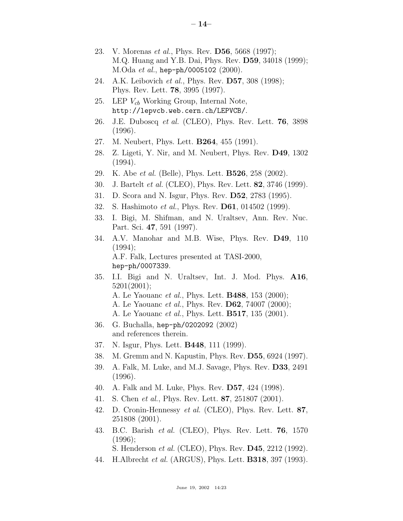- 23. V. Morenas et al., Phys. Rev. **D56**, 5668 (1997); M.Q. Huang and Y.B. Dai, Phys. Rev. **D59**, 34018 (1999); M.Oda et al., hep-ph/0005102 (2000).
- 24. A.K. Leibovich et al., Phys. Rev. **D57**, 308 (1998); Phys. Rev. Lett. **78**, 3995 (1997).
- 25. LEP  $V_{cb}$  Working Group, Internal Note, http://lepvcb.web.cern.ch/LEPVCB/.
- 26. J.E. Duboscq et al. (CLEO), Phys. Rev. Lett. **76**, 3898 (1996).
- 27. M. Neubert, Phys. Lett. **B264**, 455 (1991).
- 28. Z. Ligeti, Y. Nir, and M. Neubert, Phys. Rev. **D49**, 1302 (1994).
- 29. K. Abe et al. (Belle), Phys. Lett. **B526**, 258 (2002).
- 30. J. Bartelt et al. (CLEO), Phys. Rev. Lett. **82**, 3746 (1999).
- 31. D. Scora and N. Isgur, Phys. Rev. **D52**, 2783 (1995).
- 32. S. Hashimoto et al., Phys. Rev. **D61**, 014502 (1999).
- 33. I. Bigi, M. Shifman, and N. Uraltsev, Ann. Rev. Nuc. Part. Sci. **47**, 591 (1997).
- 34. A.V. Manohar and M.B. Wise, Phys. Rev. **D49**, 110  $(1994);$ A.F. Falk, Lectures presented at TASI-2000, hep-ph/0007339.
- 35. I.I. Bigi and N. Uraltsev, Int. J. Mod. Phys. **A16**, 5201(2001); A. Le Yaouanc et al., Phys. Lett. **B488**, 153 (2000);
	-
	- A. Le Yaouanc et al., Phys. Rev. **D62**, 74007 (2000); A. Le Yaouanc et al., Phys. Lett. **B517**, 135 (2001).
- 36. G. Buchalla, hep-ph/0202092 (2002)

and references therein.

- 37. N. Isgur, Phys. Lett. **B448**, 111 (1999).
- 38. M. Gremm and N. Kapustin, Phys. Rev. **D55**, 6924 (1997).
- 39. A. Falk, M. Luke, and M.J. Savage, Phys. Rev. **D33**, 2491 (1996).
- 40. A. Falk and M. Luke, Phys. Rev. **D57**, 424 (1998).
- 41. S. Chen et al., Phys. Rev. Lett. **87**, 251807 (2001).
- 42. D. Cronin-Hennessy et al. (CLEO), Phys. Rev. Lett. **87**, 251808 (2001).
- 43. B.C. Barish et al. (CLEO), Phys. Rev. Lett. **76**, 1570 (1996);

S. Henderson et al. (CLEO), Phys. Rev. **D45**, 2212 (1992).

44. H.Albrecht et al. (ARGUS), Phys. Lett. **B318**, 397 (1993).